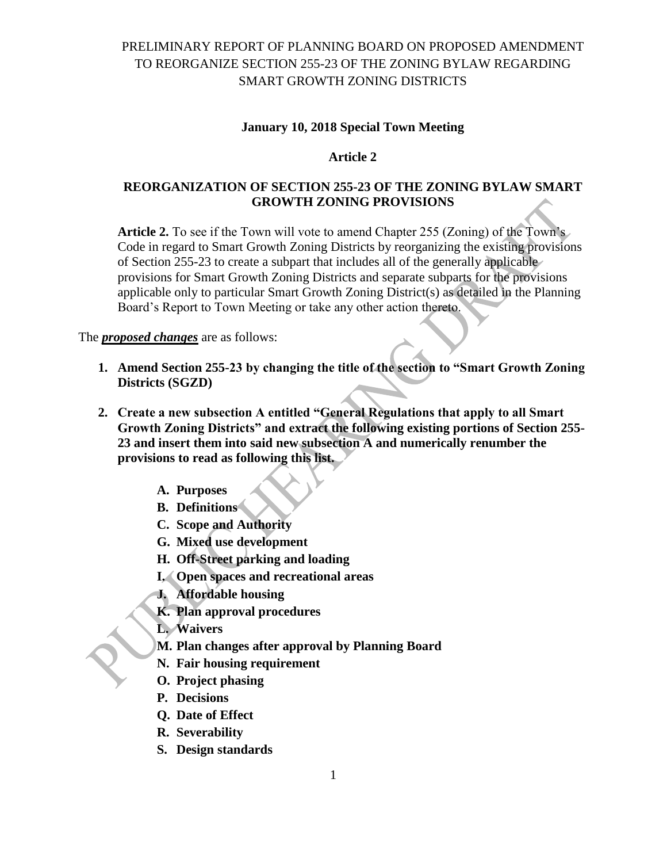#### **January 10, 2018 Special Town Meeting**

### **Article 2**

### **REORGANIZATION OF SECTION 255-23 OF THE ZONING BYLAW SMART GROWTH ZONING PROVISIONS**

**Article 2.** To see if the Town will vote to amend Chapter 255 (Zoning) of the Town's Code in regard to Smart Growth Zoning Districts by reorganizing the existing provisions of Section 255-23 to create a subpart that includes all of the generally applicable provisions for Smart Growth Zoning Districts and separate subparts for the provisions applicable only to particular Smart Growth Zoning District(s) as detailed in the Planning Board's Report to Town Meeting or take any other action thereto.

The *proposed changes* are as follows:

- **1. Amend Section 255-23 by changing the title of the section to "Smart Growth Zoning Districts (SGZD)**
- **2. Create a new subsection A entitled "General Regulations that apply to all Smart Growth Zoning Districts" and extract the following existing portions of Section 255- 23 and insert them into said new subsection A and numerically renumber the provisions to read as following this list.**
	- **A. Purposes**
	- **B. Definitions**
	- **C. Scope and Authority**
	- **G. Mixed use development**
	- **H. Off-Street parking and loading**
	- **I. Open spaces and recreational areas**
	- **J. Affordable housing**
	- **K. Plan approval procedures**
	- **L. Waivers**
	- **M. Plan changes after approval by Planning Board**
	- **N. Fair housing requirement**
	- **O. Project phasing**
	- **P. Decisions**
	- **Q. Date of Effect**
	- **R. Severability**
	- **S. Design standards**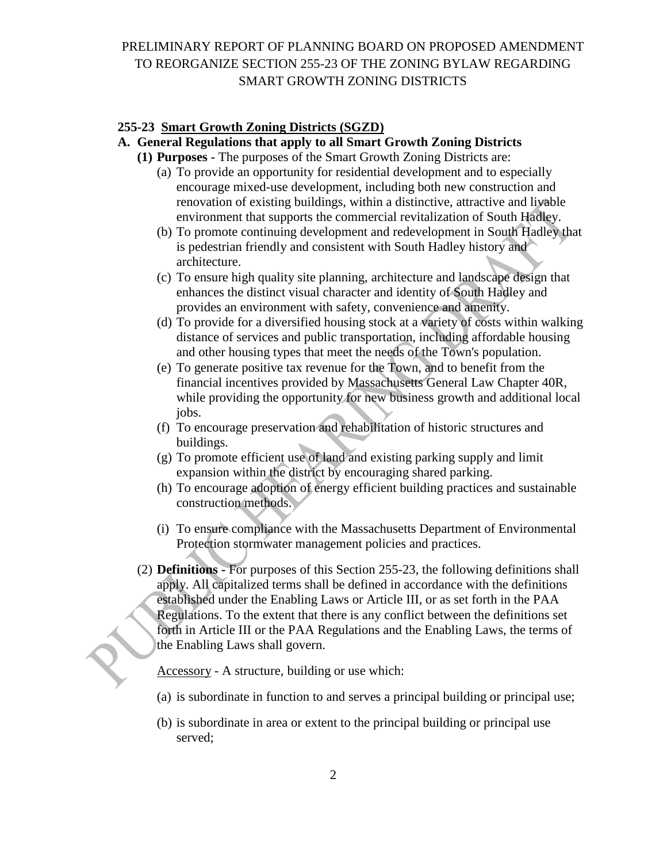#### **255-23 Smart Growth Zoning Districts (SGZD)**

#### **A. General Regulations that apply to all Smart Growth Zoning Districts**

- **(1) Purposes -** The purposes of the Smart Growth Zoning Districts are:
	- (a) To provide an opportunity for residential development and to especially encourage mixed-use development, including both new construction and renovation of existing buildings, within a distinctive, attractive and livable environment that supports the commercial revitalization of South Hadley.
	- (b) To promote continuing development and redevelopment in South Hadley that is pedestrian friendly and consistent with South Hadley history and architecture.
	- (c) To ensure high quality site planning, architecture and landscape design that enhances the distinct visual character and identity of South Hadley and provides an environment with safety, convenience and amenity.
	- (d) To provide for a diversified housing stock at a variety of costs within walking distance of services and public transportation, including affordable housing and other housing types that meet the needs of the Town's population.
	- (e) To generate positive tax revenue for the Town, and to benefit from the financial incentives provided by Massachusetts General Law Chapter 40R, while providing the opportunity for new business growth and additional local jobs.
	- (f) To encourage preservation and rehabilitation of historic structures and buildings.
	- (g) To promote efficient use of land and existing parking supply and limit expansion within the district by encouraging shared parking.
	- (h) To encourage adoption of energy efficient building practices and sustainable construction methods.
	- (i) To ensure compliance with the Massachusetts Department of Environmental Protection stormwater management policies and practices.
- (2) **Definitions -** For purposes of this Section 255-23, the following definitions shall apply. All capitalized terms shall be defined in accordance with the definitions established under the Enabling Laws or Article III, or as set forth in the PAA Regulations. To the extent that there is any conflict between the definitions set forth in Article III or the PAA Regulations and the Enabling Laws, the terms of the Enabling Laws shall govern.

Accessory - A structure, building or use which:

- (a) is subordinate in function to and serves a principal building or principal use;
- (b) is subordinate in area or extent to the principal building or principal use served;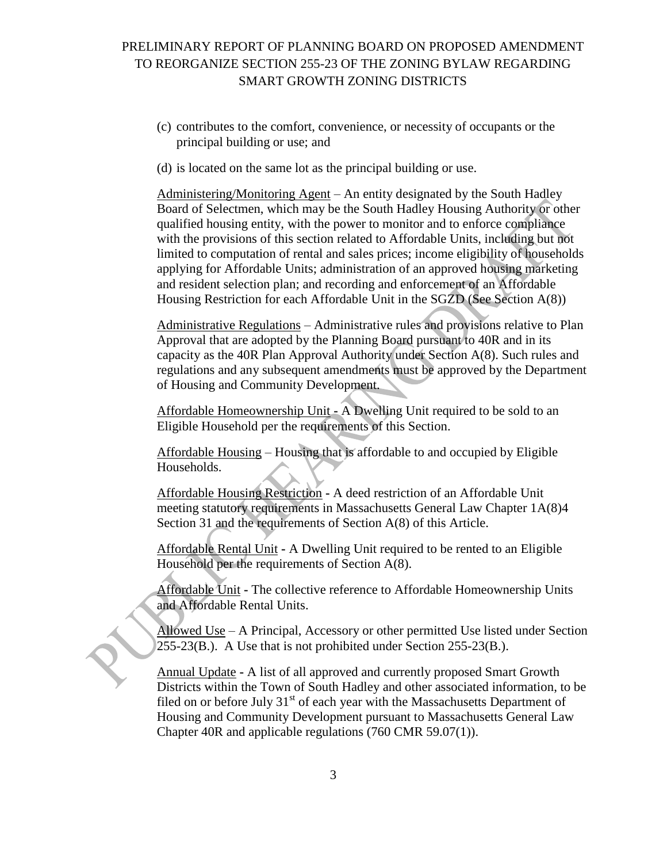- (c) contributes to the comfort, convenience, or necessity of occupants or the principal building or use; and
- (d) is located on the same lot as the principal building or use.

Administering/Monitoring Agent – An entity designated by the South Hadley Board of Selectmen, which may be the South Hadley Housing Authority or other qualified housing entity, with the power to monitor and to enforce compliance with the provisions of this section related to Affordable Units, including but not limited to computation of rental and sales prices; income eligibility of households applying for Affordable Units; administration of an approved housing marketing and resident selection plan; and recording and enforcement of an Affordable Housing Restriction for each Affordable Unit in the SGZD (See Section A(8))

Administrative Regulations – Administrative rules and provisions relative to Plan Approval that are adopted by the Planning Board pursuant to 40R and in its capacity as the 40R Plan Approval Authority under Section A(8). Such rules and regulations and any subsequent amendments must be approved by the Department of Housing and Community Development.

Affordable Homeownership Unit **-** A Dwelling Unit required to be sold to an Eligible Household per the requirements of this Section.

Affordable Housing – Housing that is affordable to and occupied by Eligible Households.

Affordable Housing Restriction **-** A deed restriction of an Affordable Unit meeting statutory requirements in Massachusetts General Law Chapter 1A(8)4 Section 31 and the requirements of Section A(8) of this Article.

Affordable Rental Unit **-** A Dwelling Unit required to be rented to an Eligible Household per the requirements of Section A(8).

Affordable Unit **-** The collective reference to Affordable Homeownership Units and Affordable Rental Units.

Allowed Use – A Principal, Accessory or other permitted Use listed under Section 255-23(B.). A Use that is not prohibited under Section 255-23(B.).

Annual Update **-** A list of all approved and currently proposed Smart Growth Districts within the Town of South Hadley and other associated information, to be filed on or before July  $31<sup>st</sup>$  of each year with the Massachusetts Department of Housing and Community Development pursuant to Massachusetts General Law Chapter 40R and applicable regulations (760 CMR 59.07(1)).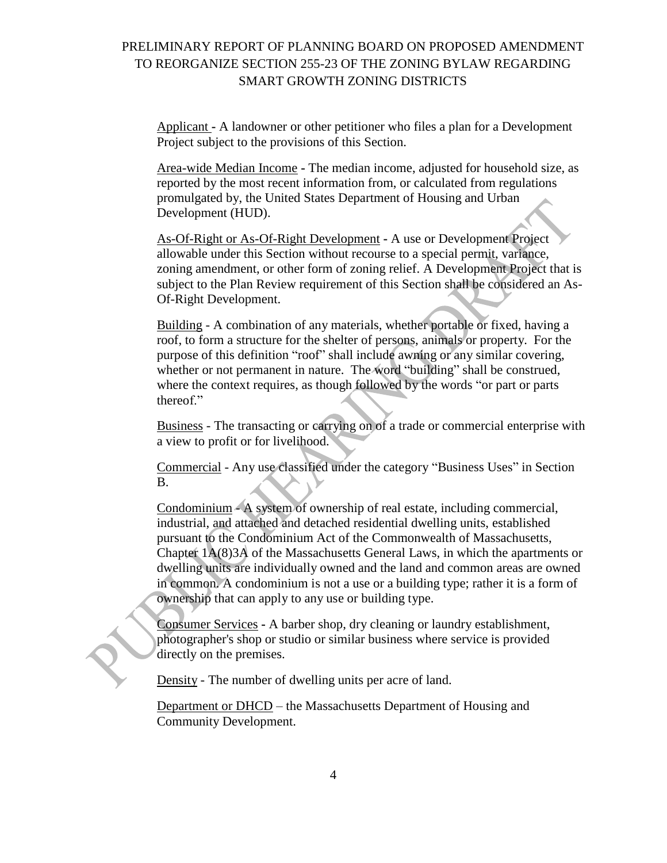Applicant **-** A landowner or other petitioner who files a plan for a Development Project subject to the provisions of this Section.

Area-wide Median Income **-** The median income, adjusted for household size, as reported by the most recent information from, or calculated from regulations promulgated by, the United States Department of Housing and Urban Development (HUD).

As-Of-Right or As-Of-Right Development **-** A use or Development Project allowable under this Section without recourse to a special permit, variance, zoning amendment, or other form of zoning relief. A Development Project that is subject to the Plan Review requirement of this Section shall be considered an As-Of-Right Development.

Building - A combination of any materials, whether portable or fixed, having a roof, to form a structure for the shelter of persons, animals or property. For the purpose of this definition "roof" shall include awning or any similar covering, whether or not permanent in nature. The word "building" shall be construed, where the context requires, as though followed by the words "or part or parts thereof."

Business - The transacting or carrying on of a trade or commercial enterprise with a view to profit or for livelihood.

Commercial - Any use classified under the category "Business Uses" in Section B.

Condominium - A system of ownership of real estate, including commercial, industrial, and attached and detached residential dwelling units, established pursuant to the Condominium Act of the Commonwealth of Massachusetts, Chapter 1A(8)3A of the Massachusetts General Laws, in which the apartments or dwelling units are individually owned and the land and common areas are owned in common. A condominium is not a use or a building type; rather it is a form of ownership that can apply to any use or building type.

Consumer Services **-** A barber shop, dry cleaning or laundry establishment, photographer's shop or studio or similar business where service is provided directly on the premises.

Density - The number of dwelling units per acre of land.

Department or DHCD – the Massachusetts Department of Housing and Community Development.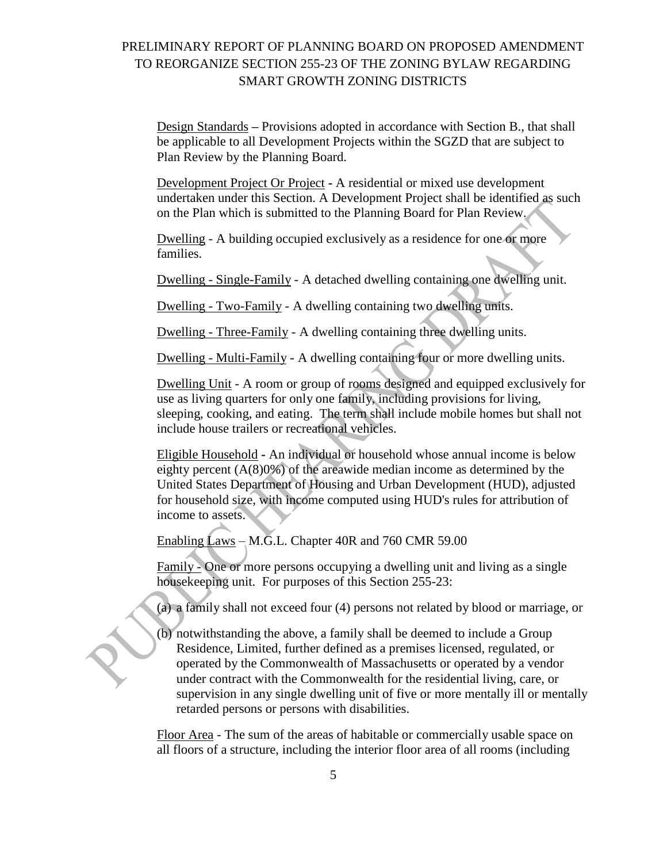Design Standards **–** Provisions adopted in accordance with Section B., that shall be applicable to all Development Projects within the SGZD that are subject to Plan Review by the Planning Board.

Development Project Or Project **-** A residential or mixed use development undertaken under this Section. A Development Project shall be identified as such on the Plan which is submitted to the Planning Board for Plan Review.

Dwelling - A building occupied exclusively as a residence for one or more families.

Dwelling - Single-Family - A detached dwelling containing one dwelling unit.

Dwelling - Two-Family - A dwelling containing two dwelling units.

Dwelling - Three-Family - A dwelling containing three dwelling units.

Dwelling - Multi-Family - A dwelling containing four or more dwelling units.

Dwelling Unit - A room or group of rooms designed and equipped exclusively for use as living quarters for only one family, including provisions for living, sleeping, cooking, and eating. The term shall include mobile homes but shall not include house trailers or recreational vehicles.

Eligible Household **-** An individual or household whose annual income is below eighty percent (A(8)0%) of the areawide median income as determined by the United States Department of Housing and Urban Development (HUD), adjusted for household size, with income computed using HUD's rules for attribution of income to assets.

Enabling Laws – M.G.L. Chapter 40R and 760 CMR 59.00

Family - One or more persons occupying a dwelling unit and living as a single housekeeping unit. For purposes of this Section 255-23:

(a) a family shall not exceed four (4) persons not related by blood or marriage, or

(b) notwithstanding the above, a family shall be deemed to include a Group Residence, Limited, further defined as a premises licensed, regulated, or operated by the Commonwealth of Massachusetts or operated by a vendor under contract with the Commonwealth for the residential living, care, or supervision in any single dwelling unit of five or more mentally ill or mentally retarded persons or persons with disabilities.

Floor Area - The sum of the areas of habitable or commercially usable space on all floors of a structure, including the interior floor area of all rooms (including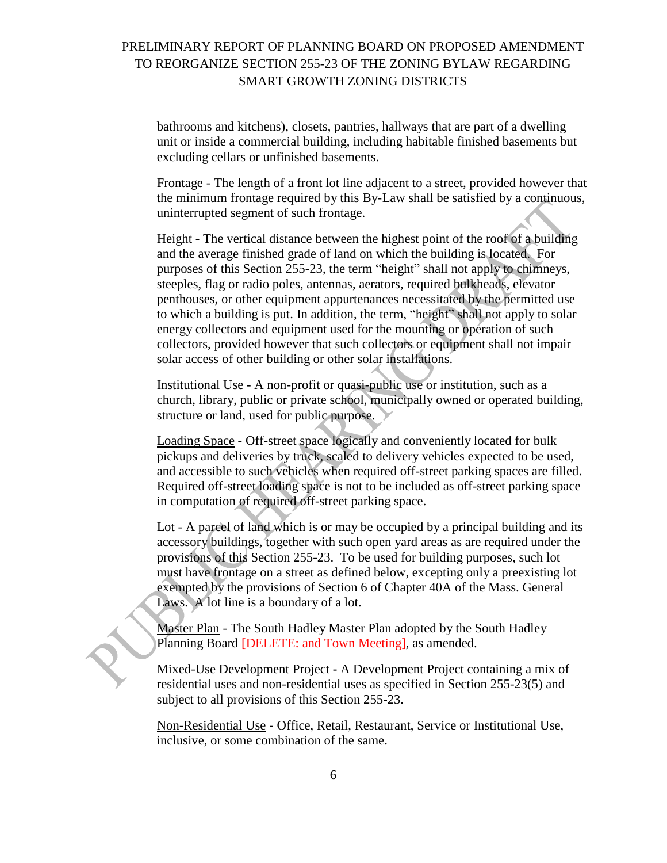bathrooms and kitchens), closets, pantries, hallways that are part of a dwelling unit or inside a commercial building, including habitable finished basements but excluding cellars or unfinished basements.

Frontage - The length of a front lot line adjacent to a street, provided however that the minimum frontage required by this By-Law shall be satisfied by a continuous, uninterrupted segment of such frontage.

Height - The vertical distance between the highest point of the roof of a building and the average finished grade of land on which the building is located. For purposes of this Section 255-23, the term "height" shall not apply to chimneys, steeples, flag or radio poles, antennas, aerators, required bulkheads, elevator penthouses, or other equipment appurtenances necessitated by the permitted use to which a building is put. In addition, the term, "height" shall not apply to solar energy collectors and equipment used for the mounting or operation of such collectors, provided however that such collectors or equipment shall not impair solar access of other building or other solar installations.

Institutional Use **-** A non-profit or quasi-public use or institution, such as a church, library, public or private school, municipally owned or operated building, structure or land, used for public purpose.

Loading Space - Off-street space logically and conveniently located for bulk pickups and deliveries by truck, scaled to delivery vehicles expected to be used, and accessible to such vehicles when required off-street parking spaces are filled. Required off-street loading space is not to be included as off-street parking space in computation of required off-street parking space.

Lot - A parcel of land which is or may be occupied by a principal building and its accessory buildings, together with such open yard areas as are required under the provisions of this Section 255-23. To be used for building purposes, such lot must have frontage on a street as defined below, excepting only a preexisting lot exempted by the provisions of Section 6 of Chapter 40A of the Mass. General Laws. A lot line is a boundary of a lot.

Master Plan - The South Hadley Master Plan adopted by the South Hadley Planning Board [DELETE: and Town Meeting], as amended.

Mixed-Use Development Project **-** A Development Project containing a mix of residential uses and non-residential uses as specified in Section 255-23(5) and subject to all provisions of this Section 255-23.

Non-Residential Use **-** Office, Retail, Restaurant, Service or Institutional Use, inclusive, or some combination of the same.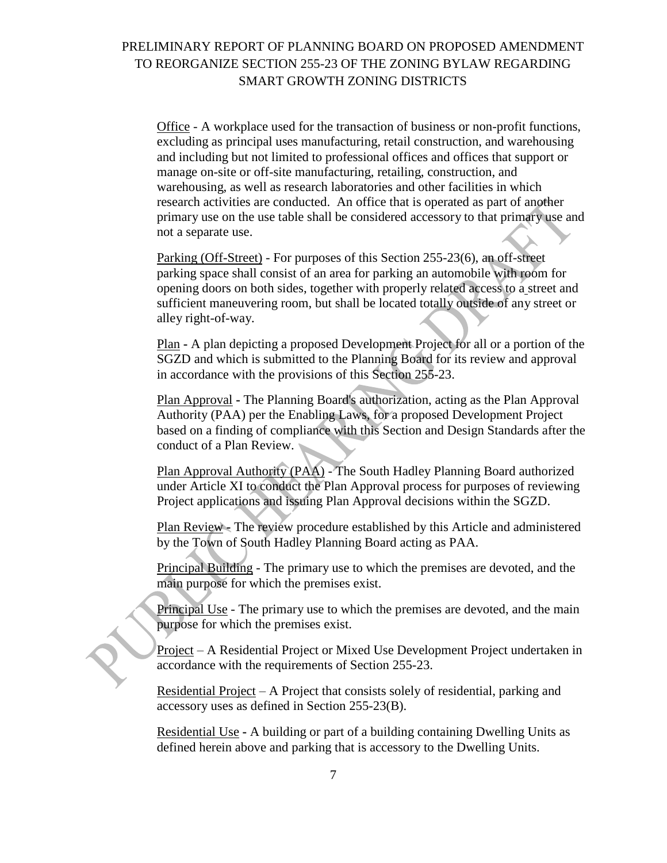Office - A workplace used for the transaction of business or non-profit functions, excluding as principal uses manufacturing, retail construction, and warehousing and including but not limited to professional offices and offices that support or manage on-site or off-site manufacturing, retailing, construction, and warehousing, as well as research laboratories and other facilities in which research activities are conducted. An office that is operated as part of another primary use on the use table shall be considered accessory to that primary use and not a separate use.

Parking (Off-Street) - For purposes of this Section 255-23(6), an off-street parking space shall consist of an area for parking an automobile with room for opening doors on both sides, together with properly related access to a street and sufficient maneuvering room, but shall be located totally outside of any street or alley right-of-way.

Plan **-** A plan depicting a proposed Development Project for all or a portion of the SGZD and which is submitted to the Planning Board for its review and approval in accordance with the provisions of this Section 255-23.

Plan Approval **-** The Planning Board's authorization, acting as the Plan Approval Authority (PAA) per the Enabling Laws, for a proposed Development Project based on a finding of compliance with this Section and Design Standards after the conduct of a Plan Review.

Plan Approval Authority (PAA) - The South Hadley Planning Board authorized under Article XI to conduct the Plan Approval process for purposes of reviewing Project applications and issuing Plan Approval decisions within the SGZD.

Plan Review **-** The review procedure established by this Article and administered by the Town of South Hadley Planning Board acting as PAA.

Principal Building - The primary use to which the premises are devoted, and the main purpose for which the premises exist.

Principal Use - The primary use to which the premises are devoted, and the main purpose for which the premises exist.

Project – A Residential Project or Mixed Use Development Project undertaken in accordance with the requirements of Section 255-23.

Residential Project – A Project that consists solely of residential, parking and accessory uses as defined in Section 255-23(B).

Residential Use **-** A building or part of a building containing Dwelling Units as defined herein above and parking that is accessory to the Dwelling Units.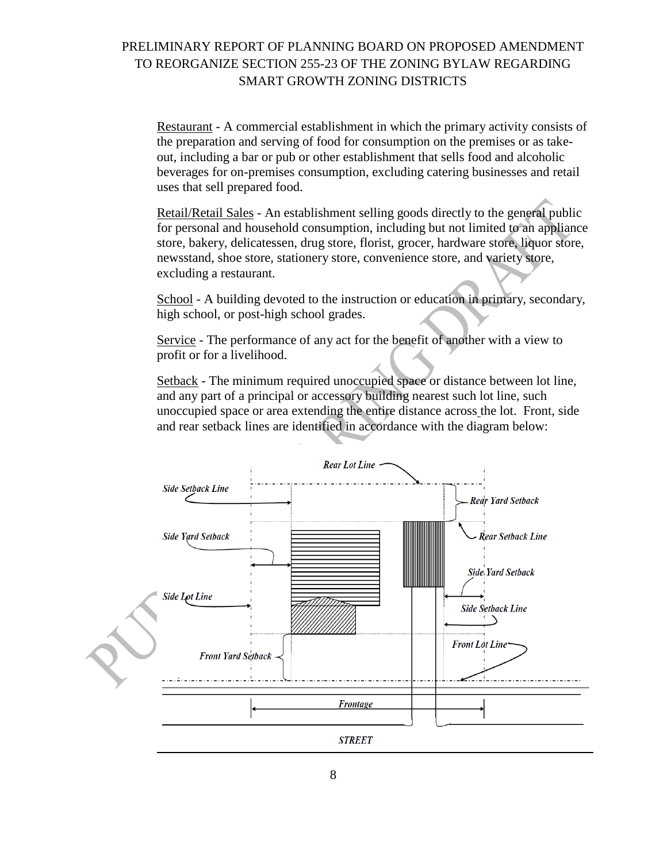Restaurant - A commercial establishment in which the primary activity consists of the preparation and serving of food for consumption on the premises or as takeout, including a bar or pub or other establishment that sells food and alcoholic beverages for on-premises consumption, excluding catering businesses and retail uses that sell prepared food.

Retail/Retail Sales - An establishment selling goods directly to the general public for personal and household consumption, including but not limited to an appliance store, bakery, delicatessen, drug store, florist, grocer, hardware store, liquor store, newsstand, shoe store, stationery store, convenience store, and variety store, excluding a restaurant.

School - A building devoted to the instruction or education in primary, secondary, high school, or post-high school grades.

Service - The performance of any act for the benefit of another with a view to profit or for a livelihood.

Setback - The minimum required unoccupied space or distance between lot line, and any part of a principal or accessory building nearest such lot line, such unoccupied space or area extending the entire distance across the lot. Front, side and rear setback lines are identified in accordance with the diagram below:

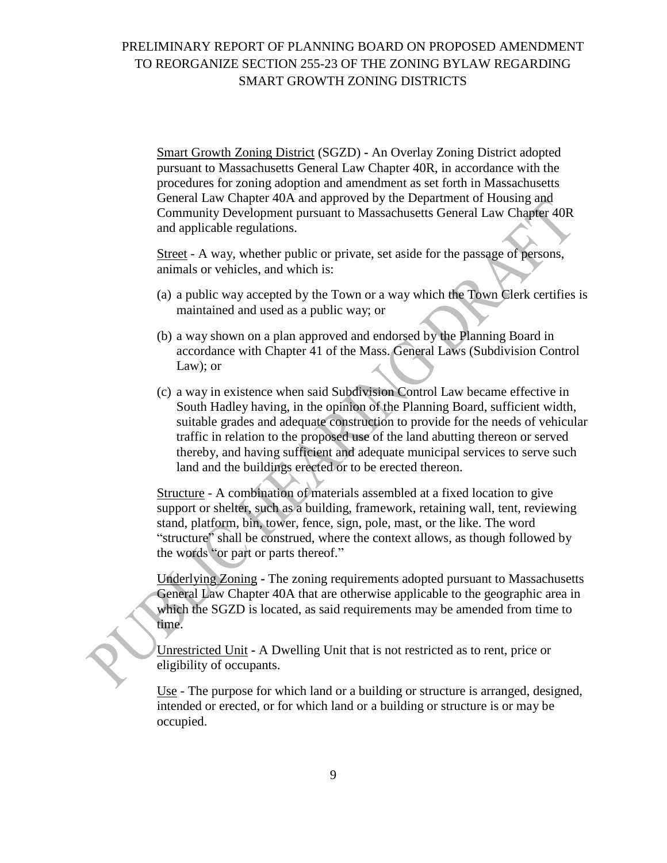Smart Growth Zoning District (SGZD) **-** An Overlay Zoning District adopted pursuant to Massachusetts General Law Chapter 40R, in accordance with the procedures for zoning adoption and amendment as set forth in Massachusetts General Law Chapter 40A and approved by the Department of Housing and Community Development pursuant to Massachusetts General Law Chapter 40R and applicable regulations.

Street - A way, whether public or private, set aside for the passage of persons, animals or vehicles, and which is:

- (a) a public way accepted by the Town or a way which the Town Clerk certifies is maintained and used as a public way; or
- (b) a way shown on a plan approved and endorsed by the Planning Board in accordance with Chapter 41 of the Mass. General Laws (Subdivision Control Law); or
- (c) a way in existence when said Subdivision Control Law became effective in South Hadley having, in the opinion of the Planning Board, sufficient width, suitable grades and adequate construction to provide for the needs of vehicular traffic in relation to the proposed use of the land abutting thereon or served thereby, and having sufficient and adequate municipal services to serve such land and the buildings erected or to be erected thereon.

Structure - A combination of materials assembled at a fixed location to give support or shelter, such as a building, framework, retaining wall, tent, reviewing stand, platform, bin, tower, fence, sign, pole, mast, or the like. The word "structure" shall be construed, where the context allows, as though followed by the words "or part or parts thereof."

Underlying Zoning **-** The zoning requirements adopted pursuant to Massachusetts General Law Chapter 40A that are otherwise applicable to the geographic area in which the SGZD is located, as said requirements may be amended from time to time.

Unrestricted Unit **-** A Dwelling Unit that is not restricted as to rent, price or eligibility of occupants.

Use - The purpose for which land or a building or structure is arranged, designed, intended or erected, or for which land or a building or structure is or may be occupied.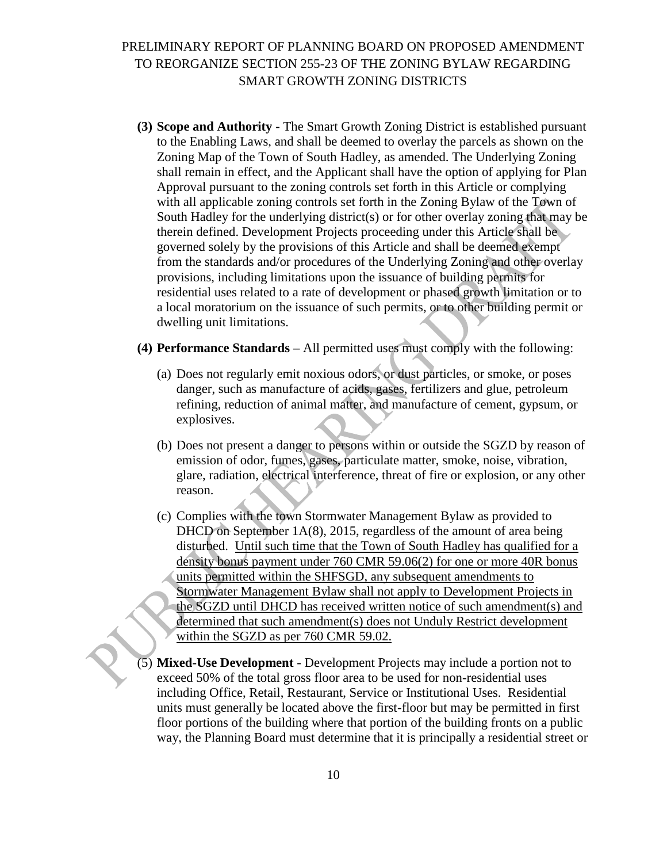- **(3) Scope and Authority -** The Smart Growth Zoning District is established pursuant to the Enabling Laws, and shall be deemed to overlay the parcels as shown on the Zoning Map of the Town of South Hadley, as amended. The Underlying Zoning shall remain in effect, and the Applicant shall have the option of applying for Plan Approval pursuant to the zoning controls set forth in this Article or complying with all applicable zoning controls set forth in the Zoning Bylaw of the Town of South Hadley for the underlying district(s) or for other overlay zoning that may be therein defined. Development Projects proceeding under this Article shall be governed solely by the provisions of this Article and shall be deemed exempt from the standards and/or procedures of the Underlying Zoning and other overlay provisions, including limitations upon the issuance of building permits for residential uses related to a rate of development or phased growth limitation or to a local moratorium on the issuance of such permits, or to other building permit or dwelling unit limitations.
- **(4) Performance Standards –** All permitted uses must comply with the following:
	- (a) Does not regularly emit noxious odors, or dust particles, or smoke, or poses danger, such as manufacture of acids, gases, fertilizers and glue, petroleum refining, reduction of animal matter, and manufacture of cement, gypsum, or explosives.
	- (b) Does not present a danger to persons within or outside the SGZD by reason of emission of odor, fumes, gases, particulate matter, smoke, noise, vibration, glare, radiation, electrical interference, threat of fire or explosion, or any other reason.
	- (c) Complies with the town Stormwater Management Bylaw as provided to DHCD on September 1A(8), 2015, regardless of the amount of area being disturbed. Until such time that the Town of South Hadley has qualified for a density bonus payment under 760 CMR 59.06(2) for one or more 40R bonus units permitted within the SHFSGD, any subsequent amendments to Stormwater Management Bylaw shall not apply to Development Projects in the SGZD until DHCD has received written notice of such amendment(s) and determined that such amendment(s) does not Unduly Restrict development within the SGZD as per 760 CMR 59.02.
- (5) **Mixed-Use Development** Development Projects may include a portion not to exceed 50% of the total gross floor area to be used for non-residential uses including Office, Retail, Restaurant, Service or Institutional Uses. Residential units must generally be located above the first-floor but may be permitted in first floor portions of the building where that portion of the building fronts on a public way, the Planning Board must determine that it is principally a residential street or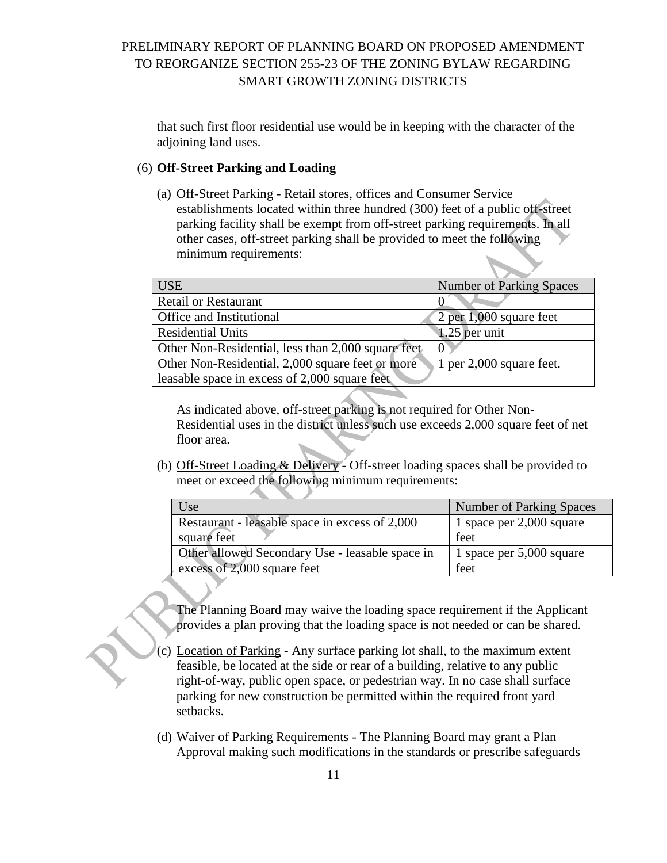that such first floor residential use would be in keeping with the character of the adjoining land uses.

### (6) **Off-Street Parking and Loading**

(a) Off-Street Parking - Retail stores, offices and Consumer Service establishments located within three hundred (300) feet of a public off-street parking facility shall be exempt from off-street parking requirements. In all other cases, off-street parking shall be provided to meet the following minimum requirements:

| <b>Number of Parking Spaces</b> |
|---------------------------------|
|                                 |
| 2 per $1,000$ square feet       |
| $1.25$ per unit                 |
|                                 |
| 1 per 2,000 square feet.        |
|                                 |
|                                 |

As indicated above, off-street parking is not required for Other Non-Residential uses in the district unless such use exceeds 2,000 square feet of net floor area.

(b) Off-Street Loading & Delivery - Off-street loading spaces shall be provided to meet or exceed the following minimum requirements:

| Use                                             | <b>Number of Parking Spaces</b> |
|-------------------------------------------------|---------------------------------|
| Restaurant - leasable space in excess of 2,000  | 1 space per 2,000 square        |
| square feet                                     | feet                            |
| Other allowed Secondary Use - leasable space in | 1 space per 5,000 square        |
| excess of 2,000 square feet                     | feet                            |
|                                                 |                                 |

The Planning Board may waive the loading space requirement if the Applicant provides a plan proving that the loading space is not needed or can be shared.

- (c) Location of Parking Any surface parking lot shall, to the maximum extent feasible, be located at the side or rear of a building, relative to any public right-of-way, public open space, or pedestrian way. In no case shall surface parking for new construction be permitted within the required front yard setbacks.
- (d) Waiver of Parking Requirements The Planning Board may grant a Plan Approval making such modifications in the standards or prescribe safeguards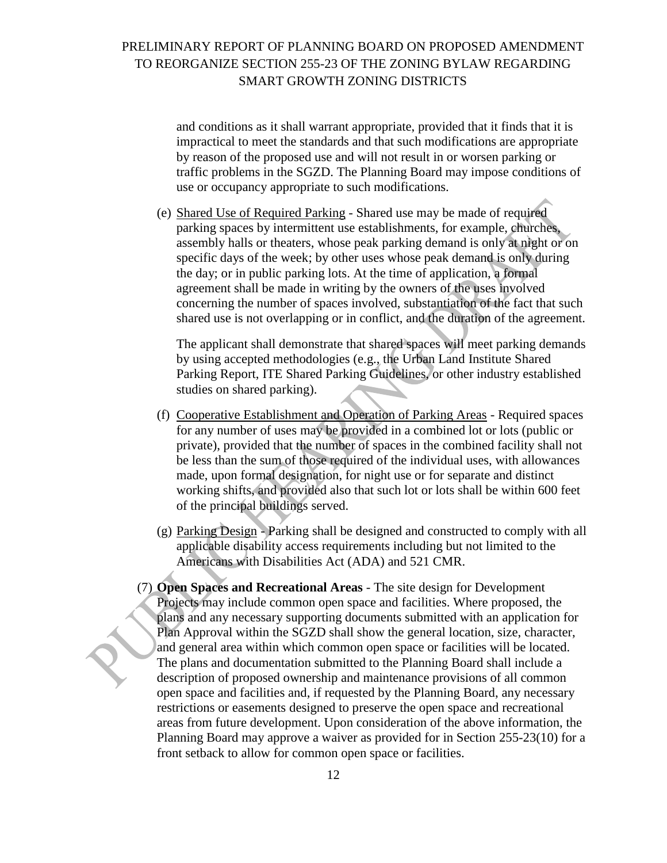and conditions as it shall warrant appropriate, provided that it finds that it is impractical to meet the standards and that such modifications are appropriate by reason of the proposed use and will not result in or worsen parking or traffic problems in the SGZD. The Planning Board may impose conditions of use or occupancy appropriate to such modifications.

(e) Shared Use of Required Parking - Shared use may be made of required parking spaces by intermittent use establishments, for example, churches, assembly halls or theaters, whose peak parking demand is only at night or on specific days of the week; by other uses whose peak demand is only during the day; or in public parking lots. At the time of application, a formal agreement shall be made in writing by the owners of the uses involved concerning the number of spaces involved, substantiation of the fact that such shared use is not overlapping or in conflict, and the duration of the agreement.

The applicant shall demonstrate that shared spaces will meet parking demands by using accepted methodologies (e.g., the Urban Land Institute Shared Parking Report, ITE Shared Parking Guidelines, or other industry established studies on shared parking).

- (f) Cooperative Establishment and Operation of Parking Areas Required spaces for any number of uses may be provided in a combined lot or lots (public or private), provided that the number of spaces in the combined facility shall not be less than the sum of those required of the individual uses, with allowances made, upon formal designation, for night use or for separate and distinct working shifts, and provided also that such lot or lots shall be within 600 feet of the principal buildings served.
- (g) Parking Design Parking shall be designed and constructed to comply with all applicable disability access requirements including but not limited to the Americans with Disabilities Act (ADA) and 521 CMR.
- (7) **Open Spaces and Recreational Areas** The site design for Development Projects may include common open space and facilities. Where proposed, the plans and any necessary supporting documents submitted with an application for Plan Approval within the SGZD shall show the general location, size, character, and general area within which common open space or facilities will be located. The plans and documentation submitted to the Planning Board shall include a description of proposed ownership and maintenance provisions of all common open space and facilities and, if requested by the Planning Board, any necessary restrictions or easements designed to preserve the open space and recreational areas from future development. Upon consideration of the above information, the Planning Board may approve a waiver as provided for in Section 255-23(10) for a front setback to allow for common open space or facilities.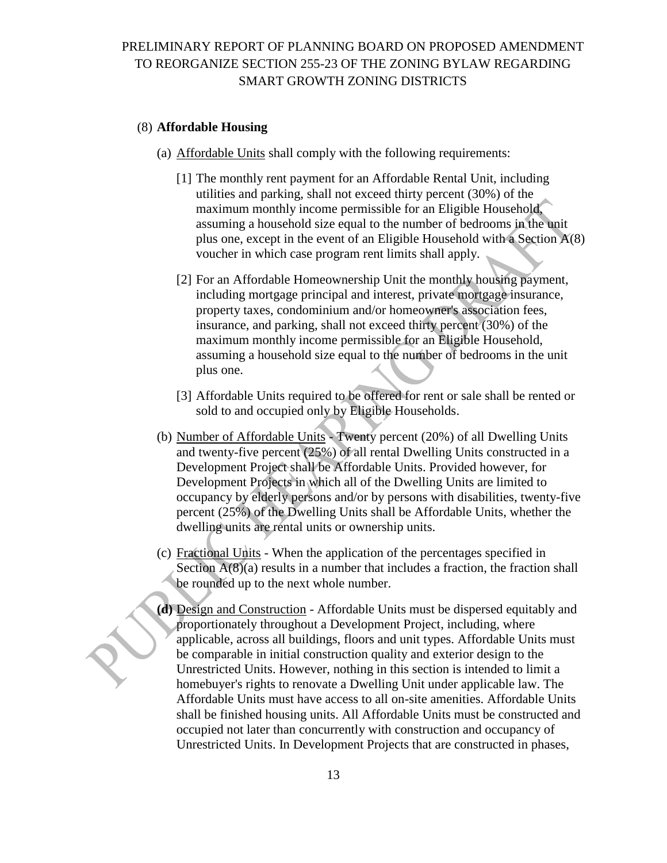#### (8) **Affordable Housing**

- (a) Affordable Units shall comply with the following requirements:
	- [1] The monthly rent payment for an Affordable Rental Unit, including utilities and parking, shall not exceed thirty percent (30%) of the maximum monthly income permissible for an Eligible Household, assuming a household size equal to the number of bedrooms in the unit plus one, except in the event of an Eligible Household with a Section A(8) voucher in which case program rent limits shall apply.
	- [2] For an Affordable Homeownership Unit the monthly housing payment, including mortgage principal and interest, private mortgage insurance, property taxes, condominium and/or homeowner's association fees, insurance, and parking, shall not exceed thirty percent (30%) of the maximum monthly income permissible for an Eligible Household, assuming a household size equal to the number of bedrooms in the unit plus one.
	- [3] Affordable Units required to be offered for rent or sale shall be rented or sold to and occupied only by Eligible Households.
- (b) Number of Affordable Units Twenty percent (20%) of all Dwelling Units and twenty-five percent (25%) of all rental Dwelling Units constructed in a Development Project shall be Affordable Units. Provided however, for Development Projects in which all of the Dwelling Units are limited to occupancy by elderly persons and/or by persons with disabilities, twenty-five percent (25%) of the Dwelling Units shall be Affordable Units, whether the dwelling units are rental units or ownership units.
- (c) Fractional Units When the application of the percentages specified in Section  $A(8)(a)$  results in a number that includes a fraction, the fraction shall be rounded up to the next whole number.
- **(d)** Design and Construction Affordable Units must be dispersed equitably and proportionately throughout a Development Project, including, where applicable, across all buildings, floors and unit types. Affordable Units must be comparable in initial construction quality and exterior design to the Unrestricted Units. However, nothing in this section is intended to limit a homebuyer's rights to renovate a Dwelling Unit under applicable law. The Affordable Units must have access to all on-site amenities. Affordable Units shall be finished housing units. All Affordable Units must be constructed and occupied not later than concurrently with construction and occupancy of Unrestricted Units. In Development Projects that are constructed in phases,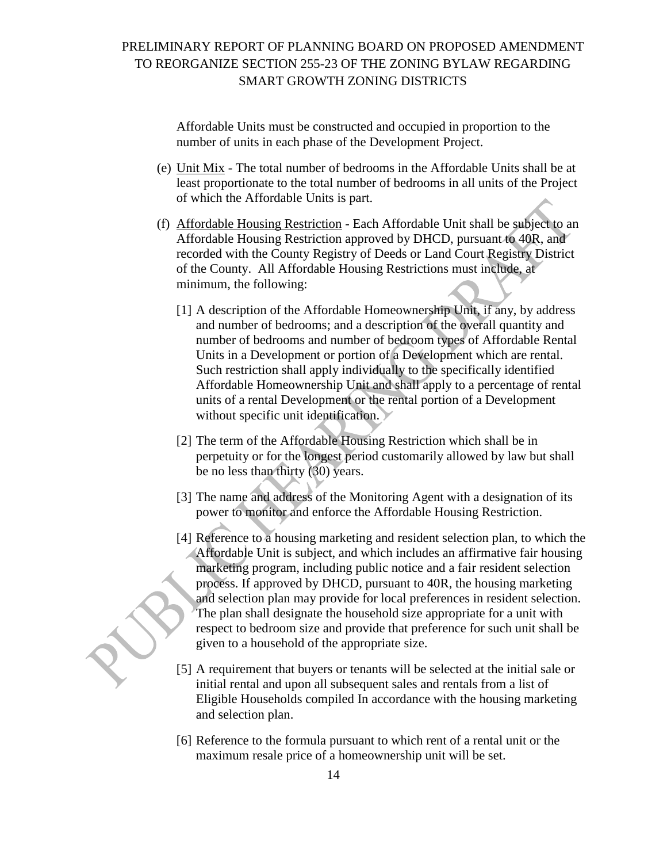Affordable Units must be constructed and occupied in proportion to the number of units in each phase of the Development Project.

- (e) Unit Mix The total number of bedrooms in the Affordable Units shall be at least proportionate to the total number of bedrooms in all units of the Project of which the Affordable Units is part.
- (f) Affordable Housing Restriction Each Affordable Unit shall be subject to an Affordable Housing Restriction approved by DHCD, pursuant to 40R, and recorded with the County Registry of Deeds or Land Court Registry District of the County. All Affordable Housing Restrictions must include, at minimum, the following:
	- [1] A description of the Affordable Homeownership Unit, if any, by address and number of bedrooms; and a description of the overall quantity and number of bedrooms and number of bedroom types of Affordable Rental Units in a Development or portion of a Development which are rental. Such restriction shall apply individually to the specifically identified Affordable Homeownership Unit and shall apply to a percentage of rental units of a rental Development or the rental portion of a Development without specific unit identification.
	- [2] The term of the Affordable Housing Restriction which shall be in perpetuity or for the longest period customarily allowed by law but shall be no less than thirty (30) years.
	- [3] The name and address of the Monitoring Agent with a designation of its power to monitor and enforce the Affordable Housing Restriction.
	- [4] Reference to a housing marketing and resident selection plan, to which the Affordable Unit is subject, and which includes an affirmative fair housing marketing program, including public notice and a fair resident selection process. If approved by DHCD, pursuant to 40R, the housing marketing and selection plan may provide for local preferences in resident selection. The plan shall designate the household size appropriate for a unit with respect to bedroom size and provide that preference for such unit shall be given to a household of the appropriate size.
	- [5] A requirement that buyers or tenants will be selected at the initial sale or initial rental and upon all subsequent sales and rentals from a list of Eligible Households compiled In accordance with the housing marketing and selection plan.
	- [6] Reference to the formula pursuant to which rent of a rental unit or the maximum resale price of a homeownership unit will be set.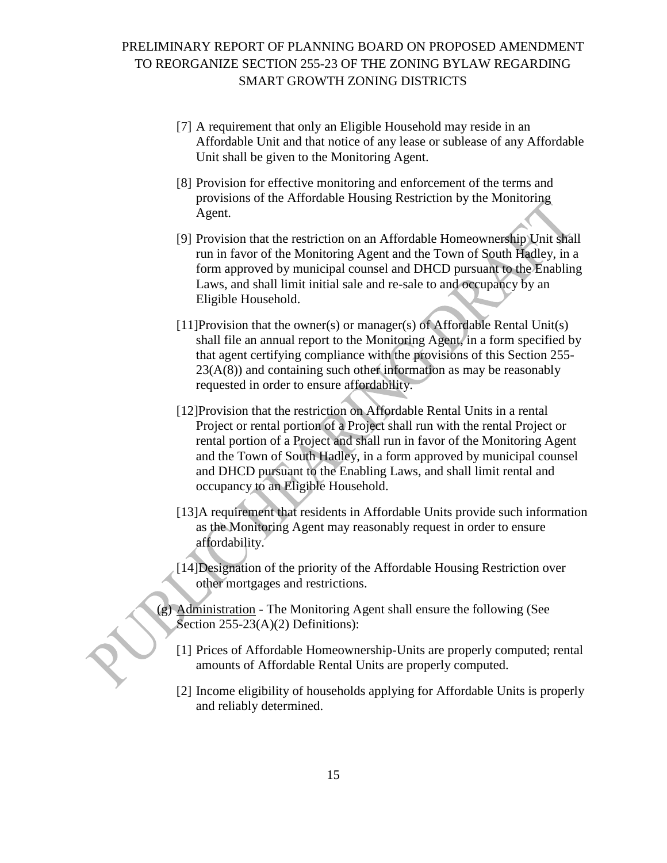- [7] A requirement that only an Eligible Household may reside in an Affordable Unit and that notice of any lease or sublease of any Affordable Unit shall be given to the Monitoring Agent.
- [8] Provision for effective monitoring and enforcement of the terms and provisions of the Affordable Housing Restriction by the Monitoring Agent.
- [9] Provision that the restriction on an Affordable Homeownership Unit shall run in favor of the Monitoring Agent and the Town of South Hadley, in a form approved by municipal counsel and DHCD pursuant to the Enabling Laws, and shall limit initial sale and re-sale to and occupancy by an Eligible Household.
- [11]Provision that the owner(s) or manager(s) of Affordable Rental Unit(s) shall file an annual report to the Monitoring Agent, in a form specified by that agent certifying compliance with the provisions of this Section 255-  $23(A(8))$  and containing such other information as may be reasonably requested in order to ensure affordability.
- [12]Provision that the restriction on Affordable Rental Units in a rental Project or rental portion of a Project shall run with the rental Project or rental portion of a Project and shall run in favor of the Monitoring Agent and the Town of South Hadley, in a form approved by municipal counsel and DHCD pursuant to the Enabling Laws, and shall limit rental and occupancy to an Eligible Household.
- [13]A requirement that residents in Affordable Units provide such information as the Monitoring Agent may reasonably request in order to ensure affordability.
- [14]Designation of the priority of the Affordable Housing Restriction over other mortgages and restrictions.
- (g) Administration The Monitoring Agent shall ensure the following (See Section 255-23(A)(2) Definitions):
	- [1] Prices of Affordable Homeownership-Units are properly computed; rental amounts of Affordable Rental Units are properly computed.
	- [2] Income eligibility of households applying for Affordable Units is properly and reliably determined.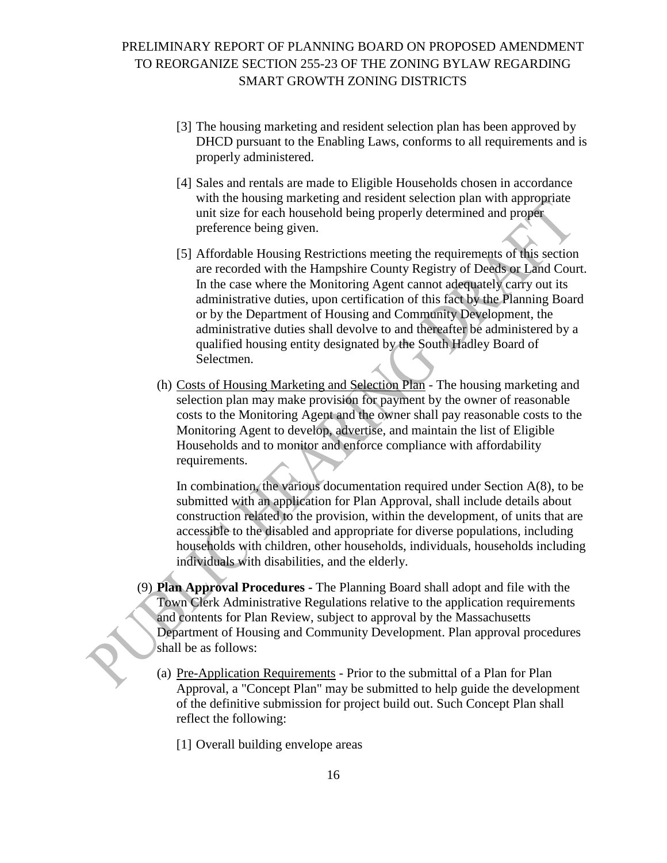- [3] The housing marketing and resident selection plan has been approved by DHCD pursuant to the Enabling Laws, conforms to all requirements and is properly administered.
- [4] Sales and rentals are made to Eligible Households chosen in accordance with the housing marketing and resident selection plan with appropriate unit size for each household being properly determined and proper preference being given.
- [5] Affordable Housing Restrictions meeting the requirements of this section are recorded with the Hampshire County Registry of Deeds or Land Court. In the case where the Monitoring Agent cannot adequately carry out its administrative duties, upon certification of this fact by the Planning Board or by the Department of Housing and Community Development, the administrative duties shall devolve to and thereafter be administered by a qualified housing entity designated by the South Hadley Board of Selectmen.
- (h) Costs of Housing Marketing and Selection Plan The housing marketing and selection plan may make provision for payment by the owner of reasonable costs to the Monitoring Agent and the owner shall pay reasonable costs to the Monitoring Agent to develop, advertise, and maintain the list of Eligible Households and to monitor and enforce compliance with affordability requirements.

In combination, the various documentation required under Section  $A(8)$ , to be submitted with an application for Plan Approval, shall include details about construction related to the provision, within the development, of units that are accessible to the disabled and appropriate for diverse populations, including households with children, other households, individuals, households including individuals with disabilities, and the elderly.

- (9) **Plan Approval Procedures -** The Planning Board shall adopt and file with the Town Clerk Administrative Regulations relative to the application requirements and contents for Plan Review, subject to approval by the Massachusetts Department of Housing and Community Development. Plan approval procedures shall be as follows:
	- (a) Pre-Application Requirements Prior to the submittal of a Plan for Plan Approval, a "Concept Plan" may be submitted to help guide the development of the definitive submission for project build out. Such Concept Plan shall reflect the following:
		- [1] Overall building envelope areas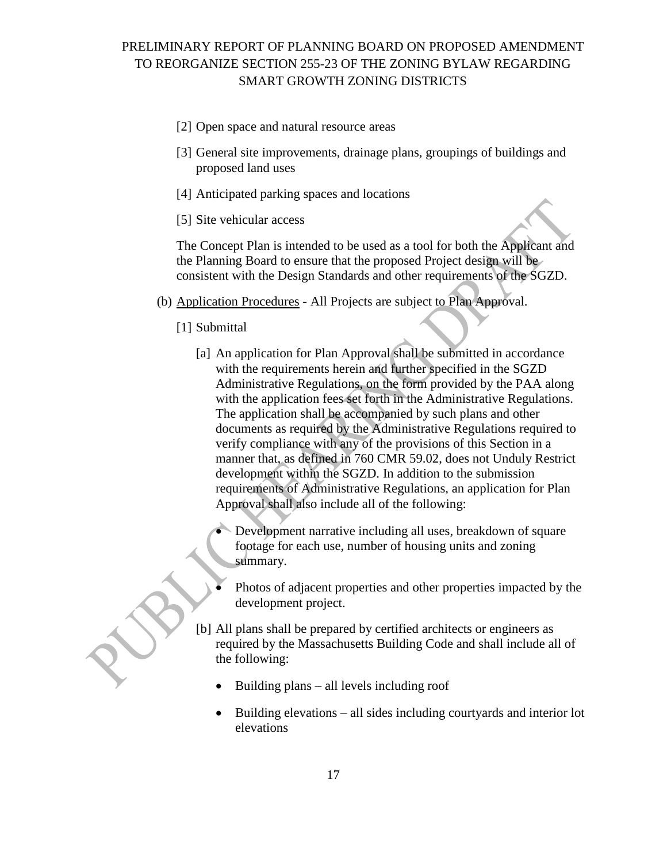- [2] Open space and natural resource areas
- [3] General site improvements, drainage plans, groupings of buildings and proposed land uses
- [4] Anticipated parking spaces and locations
- [5] Site vehicular access

The Concept Plan is intended to be used as a tool for both the Applicant and the Planning Board to ensure that the proposed Project design will be consistent with the Design Standards and other requirements of the SGZD.

- (b) Application Procedures All Projects are subject to Plan Approval.
	- [1] Submittal
		- [a] An application for Plan Approval shall be submitted in accordance with the requirements herein and further specified in the SGZD Administrative Regulations, on the form provided by the PAA along with the application fees set forth in the Administrative Regulations. The application shall be accompanied by such plans and other documents as required by the Administrative Regulations required to verify compliance with any of the provisions of this Section in a manner that, as defined in 760 CMR 59.02, does not Unduly Restrict development within the SGZD. In addition to the submission requirements of Administrative Regulations, an application for Plan Approval shall also include all of the following:
			- Development narrative including all uses, breakdown of square footage for each use, number of housing units and zoning summary.
			- Photos of adjacent properties and other properties impacted by the development project.
		- [b] All plans shall be prepared by certified architects or engineers as required by the Massachusetts Building Code and shall include all of the following:
			- Building plans all levels including roof
			- $\bullet$  Building elevations all sides including courtyards and interior lot elevations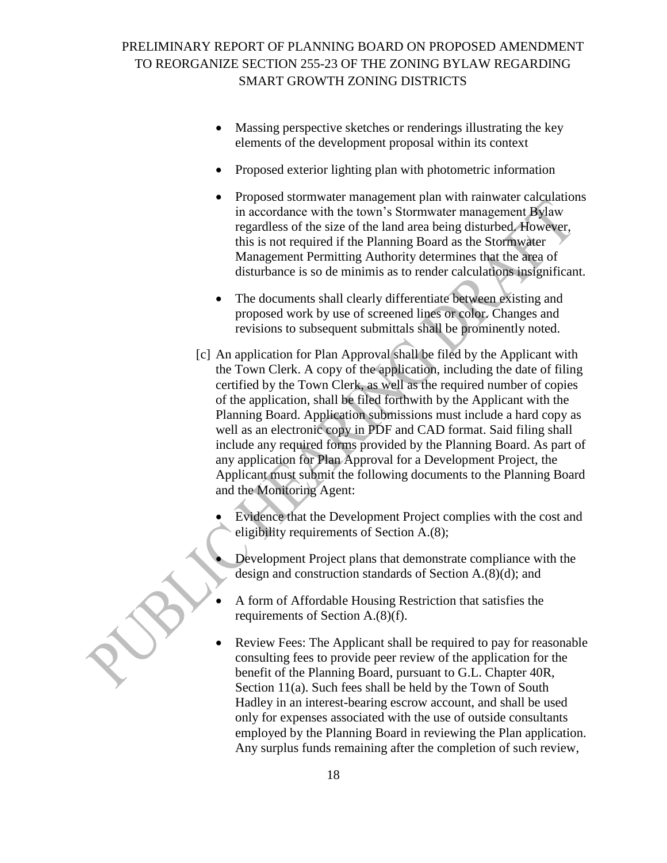- Massing perspective sketches or renderings illustrating the key elements of the development proposal within its context
- Proposed exterior lighting plan with photometric information
- Proposed stormwater management plan with rainwater calculations in accordance with the town's Stormwater management Bylaw regardless of the size of the land area being disturbed. However, this is not required if the Planning Board as the Stormwater Management Permitting Authority determines that the area of disturbance is so de minimis as to render calculations insignificant.
- The documents shall clearly differentiate between existing and proposed work by use of screened lines or color. Changes and revisions to subsequent submittals shall be prominently noted.
- [c] An application for Plan Approval shall be filed by the Applicant with the Town Clerk. A copy of the application, including the date of filing certified by the Town Clerk, as well as the required number of copies of the application, shall be filed forthwith by the Applicant with the Planning Board. Application submissions must include a hard copy as well as an electronic copy in PDF and CAD format. Said filing shall include any required forms provided by the Planning Board. As part of any application for Plan Approval for a Development Project, the Applicant must submit the following documents to the Planning Board and the Monitoring Agent:

 Evidence that the Development Project complies with the cost and eligibility requirements of Section A.(8);

- Development Project plans that demonstrate compliance with the design and construction standards of Section A.(8)(d); and
- A form of Affordable Housing Restriction that satisfies the requirements of Section A.(8)(f).
- Review Fees: The Applicant shall be required to pay for reasonable consulting fees to provide peer review of the application for the benefit of the Planning Board, pursuant to G.L. Chapter 40R, Section 11(a). Such fees shall be held by the Town of South Hadley in an interest-bearing escrow account, and shall be used only for expenses associated with the use of outside consultants employed by the Planning Board in reviewing the Plan application. Any surplus funds remaining after the completion of such review,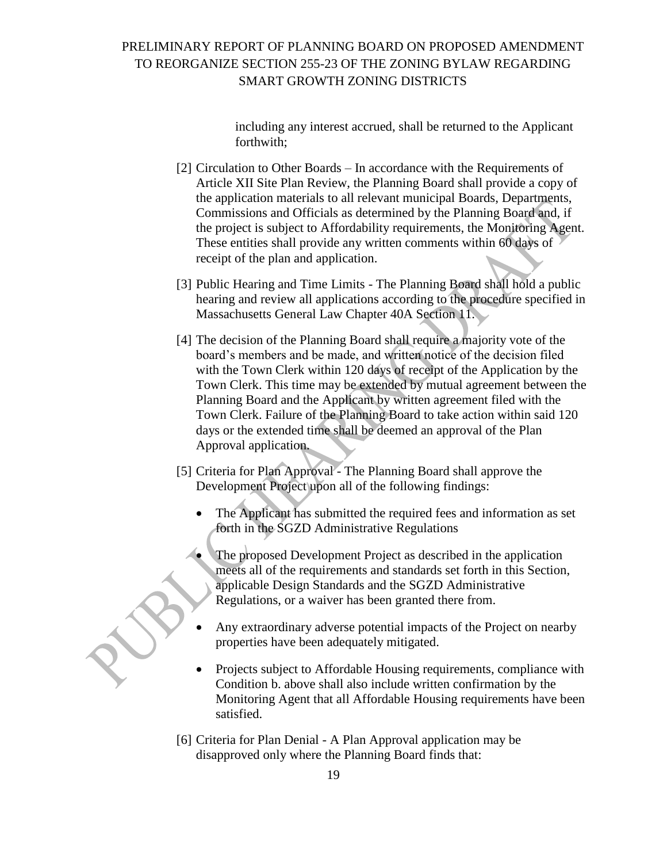including any interest accrued, shall be returned to the Applicant forthwith;

- [2] Circulation to Other Boards In accordance with the Requirements of Article XII Site Plan Review, the Planning Board shall provide a copy of the application materials to all relevant municipal Boards, Departments, Commissions and Officials as determined by the Planning Board and, if the project is subject to Affordability requirements, the Monitoring Agent. These entities shall provide any written comments within 60 days of receipt of the plan and application.
- [3] Public Hearing and Time Limits The Planning Board shall hold a public hearing and review all applications according to the procedure specified in Massachusetts General Law Chapter 40A Section 11.
- [4] The decision of the Planning Board shall require a majority vote of the board's members and be made, and written notice of the decision filed with the Town Clerk within 120 days of receipt of the Application by the Town Clerk. This time may be extended by mutual agreement between the Planning Board and the Applicant by written agreement filed with the Town Clerk. Failure of the Planning Board to take action within said 120 days or the extended time shall be deemed an approval of the Plan Approval application.
- [5] Criteria for Plan Approval The Planning Board shall approve the Development Project upon all of the following findings:
	- The Applicant has submitted the required fees and information as set forth in the SGZD Administrative Regulations
	- The proposed Development Project as described in the application meets all of the requirements and standards set forth in this Section, applicable Design Standards and the SGZD Administrative Regulations, or a waiver has been granted there from.
	- Any extraordinary adverse potential impacts of the Project on nearby properties have been adequately mitigated.
	- Projects subject to Affordable Housing requirements, compliance with Condition b. above shall also include written confirmation by the Monitoring Agent that all Affordable Housing requirements have been satisfied.
- [6] Criteria for Plan Denial A Plan Approval application may be disapproved only where the Planning Board finds that: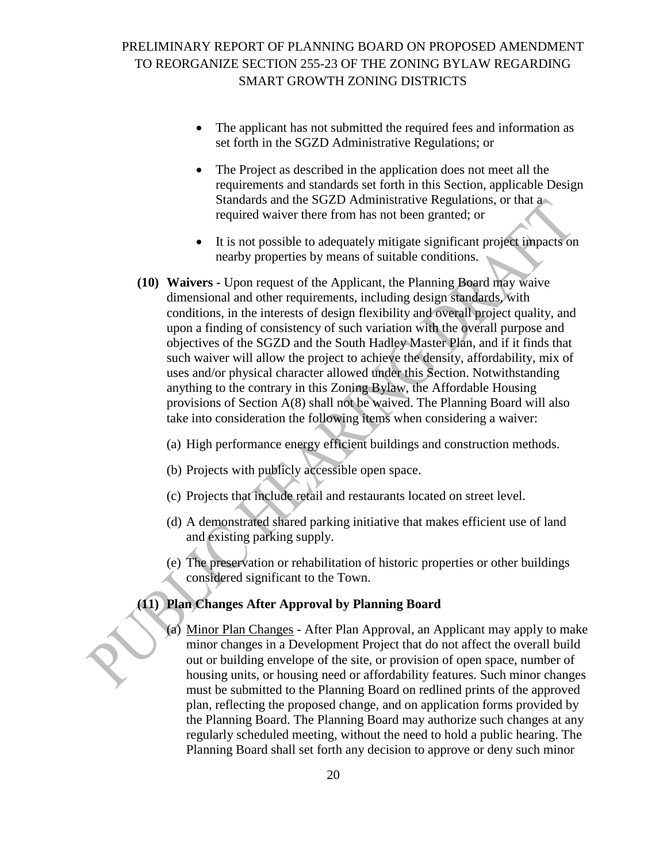- The applicant has not submitted the required fees and information as set forth in the SGZD Administrative Regulations; or
- The Project as described in the application does not meet all the requirements and standards set forth in this Section, applicable Design Standards and the SGZD Administrative Regulations, or that a required waiver there from has not been granted; or
- It is not possible to adequately mitigate significant project impacts on nearby properties by means of suitable conditions.
- **(10) Waivers -** Upon request of the Applicant, the Planning Board may waive dimensional and other requirements, including design standards, with conditions, in the interests of design flexibility and overall project quality, and upon a finding of consistency of such variation with the overall purpose and objectives of the SGZD and the South Hadley Master Plan, and if it finds that such waiver will allow the project to achieve the density, affordability, mix of uses and/or physical character allowed under this Section. Notwithstanding anything to the contrary in this Zoning Bylaw, the Affordable Housing provisions of Section A(8) shall not be waived. The Planning Board will also take into consideration the following items when considering a waiver:
	- (a) High performance energy efficient buildings and construction methods.
	- (b) Projects with publicly accessible open space.
	- (c) Projects that include retail and restaurants located on street level.
	- (d) A demonstrated shared parking initiative that makes efficient use of land and existing parking supply.
	- (e) The preservation or rehabilitation of historic properties or other buildings considered significant to the Town.

### **(11) Plan Changes After Approval by Planning Board**

(a) Minor Plan Changes - After Plan Approval, an Applicant may apply to make minor changes in a Development Project that do not affect the overall build out or building envelope of the site, or provision of open space, number of housing units, or housing need or affordability features. Such minor changes must be submitted to the Planning Board on redlined prints of the approved plan, reflecting the proposed change, and on application forms provided by the Planning Board. The Planning Board may authorize such changes at any regularly scheduled meeting, without the need to hold a public hearing. The Planning Board shall set forth any decision to approve or deny such minor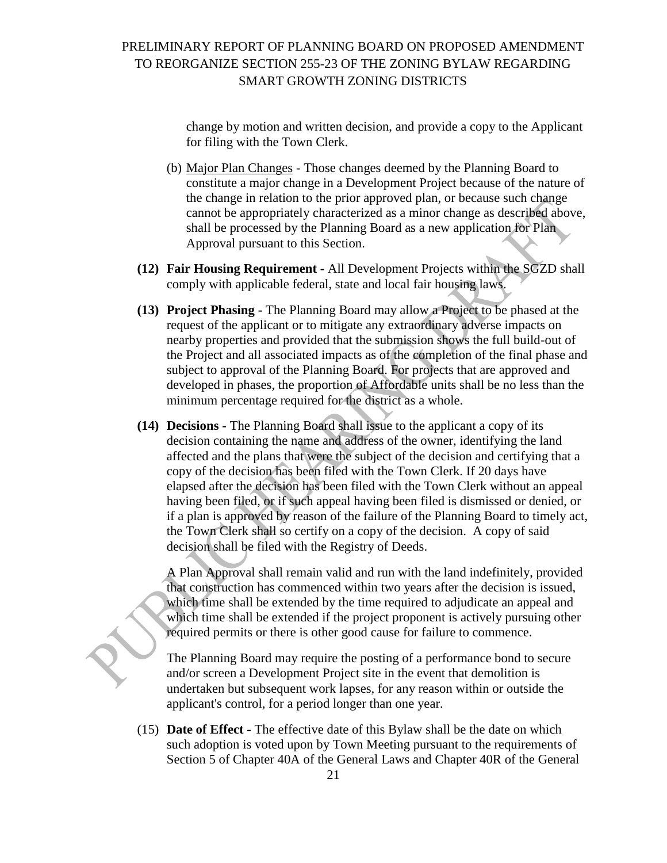change by motion and written decision, and provide a copy to the Applicant for filing with the Town Clerk.

- (b) Major Plan Changes Those changes deemed by the Planning Board to constitute a major change in a Development Project because of the nature of the change in relation to the prior approved plan, or because such change cannot be appropriately characterized as a minor change as described above, shall be processed by the Planning Board as a new application for Plan Approval pursuant to this Section.
- **(12) Fair Housing Requirement -** All Development Projects within the SGZD shall comply with applicable federal, state and local fair housing laws.
- **(13) Project Phasing -** The Planning Board may allow a Project to be phased at the request of the applicant or to mitigate any extraordinary adverse impacts on nearby properties and provided that the submission shows the full build-out of the Project and all associated impacts as of the completion of the final phase and subject to approval of the Planning Board. For projects that are approved and developed in phases, the proportion of Affordable units shall be no less than the minimum percentage required for the district as a whole.
- **(14) Decisions -** The Planning Board shall issue to the applicant a copy of its decision containing the name and address of the owner, identifying the land affected and the plans that were the subject of the decision and certifying that a copy of the decision has been filed with the Town Clerk. If 20 days have elapsed after the decision has been filed with the Town Clerk without an appeal having been filed, or if such appeal having been filed is dismissed or denied, or if a plan is approved by reason of the failure of the Planning Board to timely act, the Town Clerk shall so certify on a copy of the decision. A copy of said decision shall be filed with the Registry of Deeds.

A Plan Approval shall remain valid and run with the land indefinitely, provided that construction has commenced within two years after the decision is issued, which time shall be extended by the time required to adjudicate an appeal and which time shall be extended if the project proponent is actively pursuing other required permits or there is other good cause for failure to commence.

The Planning Board may require the posting of a performance bond to secure and/or screen a Development Project site in the event that demolition is undertaken but subsequent work lapses, for any reason within or outside the applicant's control, for a period longer than one year.

(15) **Date of Effect -** The effective date of this Bylaw shall be the date on which such adoption is voted upon by Town Meeting pursuant to the requirements of Section 5 of Chapter 40A of the General Laws and Chapter 40R of the General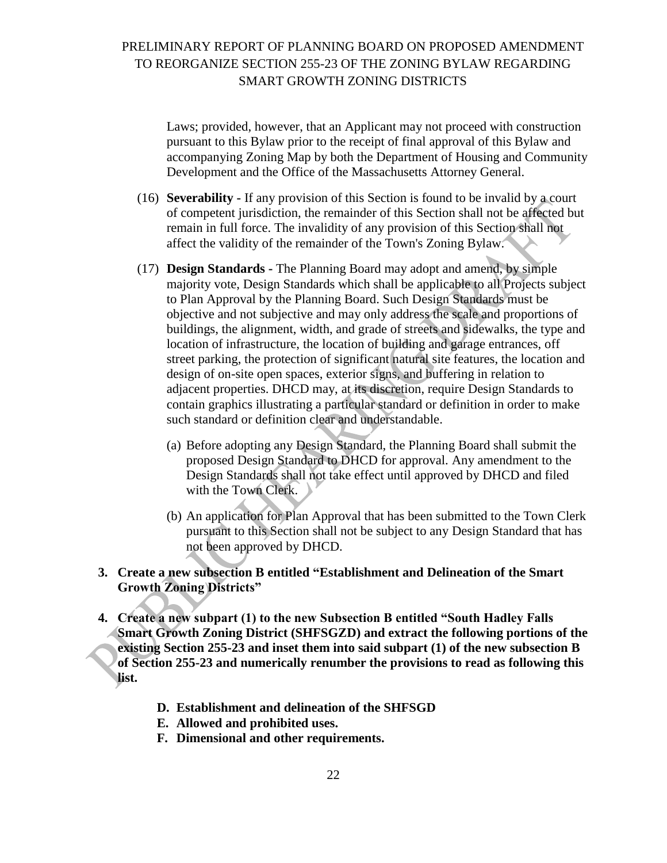Laws; provided, however, that an Applicant may not proceed with construction pursuant to this Bylaw prior to the receipt of final approval of this Bylaw and accompanying Zoning Map by both the Department of Housing and Community Development and the Office of the Massachusetts Attorney General.

- (16) **Severability -** If any provision of this Section is found to be invalid by a court of competent jurisdiction, the remainder of this Section shall not be affected but remain in full force. The invalidity of any provision of this Section shall not affect the validity of the remainder of the Town's Zoning Bylaw.
- (17) **Design Standards -** The Planning Board may adopt and amend, by simple majority vote, Design Standards which shall be applicable to all Projects subject to Plan Approval by the Planning Board. Such Design Standards must be objective and not subjective and may only address the scale and proportions of buildings, the alignment, width, and grade of streets and sidewalks, the type and location of infrastructure, the location of building and garage entrances, off street parking, the protection of significant natural site features, the location and design of on-site open spaces, exterior signs, and buffering in relation to adjacent properties. DHCD may, at its discretion, require Design Standards to contain graphics illustrating a particular standard or definition in order to make such standard or definition clear and understandable.
	- (a) Before adopting any Design Standard, the Planning Board shall submit the proposed Design Standard to DHCD for approval. Any amendment to the Design Standards shall not take effect until approved by DHCD and filed with the Town Clerk.
	- (b) An application for Plan Approval that has been submitted to the Town Clerk pursuant to this Section shall not be subject to any Design Standard that has not been approved by DHCD.

### **3. Create a new subsection B entitled "Establishment and Delineation of the Smart Growth Zoning Districts"**

- **4. Create a new subpart (1) to the new Subsection B entitled "South Hadley Falls Smart Growth Zoning District (SHFSGZD) and extract the following portions of the existing Section 255-23 and inset them into said subpart (1) of the new subsection B of Section 255-23 and numerically renumber the provisions to read as following this list.**
	- **D. Establishment and delineation of the SHFSGD**
	- **E. Allowed and prohibited uses.**
	- **F. Dimensional and other requirements.**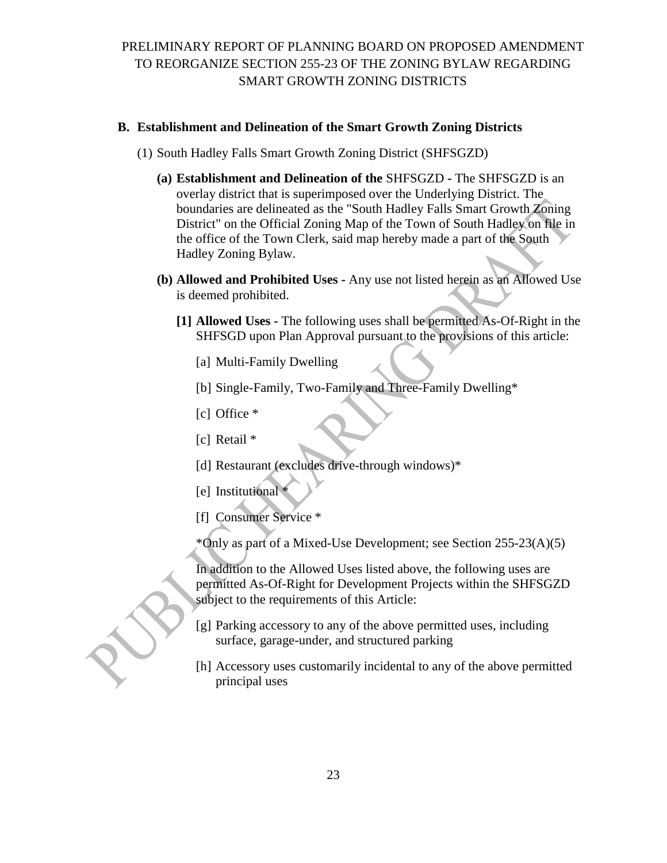### **B. Establishment and Delineation of the Smart Growth Zoning Districts**

- (1) South Hadley Falls Smart Growth Zoning District (SHFSGZD)
	- **(a) Establishment and Delineation of the** SHFSGZD **-** The SHFSGZD is an overlay district that is superimposed over the Underlying District. The boundaries are delineated as the "South Hadley Falls Smart Growth Zoning District" on the Official Zoning Map of the Town of South Hadley on file in the office of the Town Clerk, said map hereby made a part of the South Hadley Zoning Bylaw.
	- **(b) Allowed and Prohibited Uses -** Any use not listed herein as an Allowed Use is deemed prohibited.
		- **[1] Allowed Uses -** The following uses shall be permitted As-Of-Right in the SHFSGD upon Plan Approval pursuant to the provisions of this article:
			- [a] Multi-Family Dwelling
			- [b] Single-Family, Two-Family and Three-Family Dwelling\*
			- [c] Office  $*$
			- [c] Retail \*
			- [d] Restaurant (excludes drive-through windows)\*
			- [e] Institutional \*
			- [f] Consumer Service \*

\*Only as part of a Mixed-Use Development; see Section 255-23(A)(5)

In addition to the Allowed Uses listed above, the following uses are permitted As-Of-Right for Development Projects within the SHFSGZD subject to the requirements of this Article:

- [g] Parking accessory to any of the above permitted uses, including surface, garage-under, and structured parking
- [h] Accessory uses customarily incidental to any of the above permitted principal uses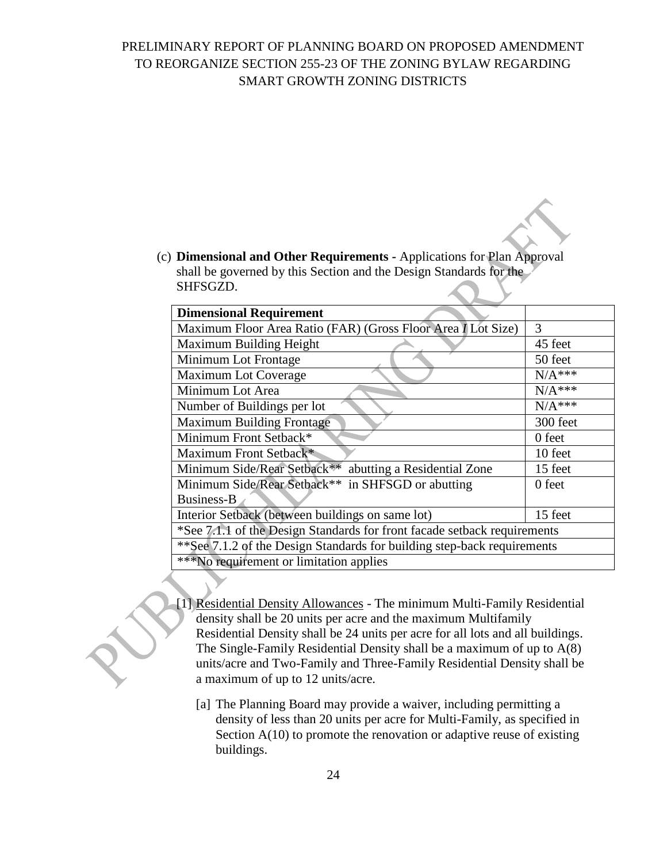(c) **Dimensional and Other Requirements -** Applications for Plan Approval shall be governed by this Section and the Design Standards for the SHFSGZD.

| <b>Dimensional Requirement</b>                                           |          |  |
|--------------------------------------------------------------------------|----------|--|
| Maximum Floor Area Ratio (FAR) (Gross Floor Area I Lot Size)             | 3        |  |
| Maximum Building Height                                                  | 45 feet  |  |
| Minimum Lot Frontage                                                     | 50 feet  |  |
| Maximum Lot Coverage                                                     | $N/A***$ |  |
| Minimum Lot Area                                                         | $N/A***$ |  |
| Number of Buildings per lot                                              | $N/A***$ |  |
| <b>Maximum Building Frontage</b>                                         | 300 feet |  |
| Minimum Front Setback*                                                   | 0 feet   |  |
| Maximum Front Setback*                                                   | 10 feet  |  |
| Minimum Side/Rear Setback**<br>abutting a Residential Zone               | 15 feet  |  |
| Minimum Side/Rear Setback**<br>in SHFSGD or abutting                     | 0 feet   |  |
| Business-B                                                               |          |  |
| Interior Setback (between buildings on same lot)                         | 15 feet  |  |
| *See 7.1.1 of the Design Standards for front facade setback requirements |          |  |
| **See 7.1.2 of the Design Standards for building step-back requirements  |          |  |
| <b>***No requirement or limitation applies</b>                           |          |  |
|                                                                          |          |  |

- [1] Residential Density Allowances The minimum Multi-Family Residential density shall be 20 units per acre and the maximum Multifamily Residential Density shall be 24 units per acre for all lots and all buildings. The Single-Family Residential Density shall be a maximum of up to A(8) units/acre and Two-Family and Three-Family Residential Density shall be a maximum of up to 12 units/acre.
	- [a] The Planning Board may provide a waiver, including permitting a density of less than 20 units per acre for Multi-Family, as specified in Section A(10) to promote the renovation or adaptive reuse of existing buildings.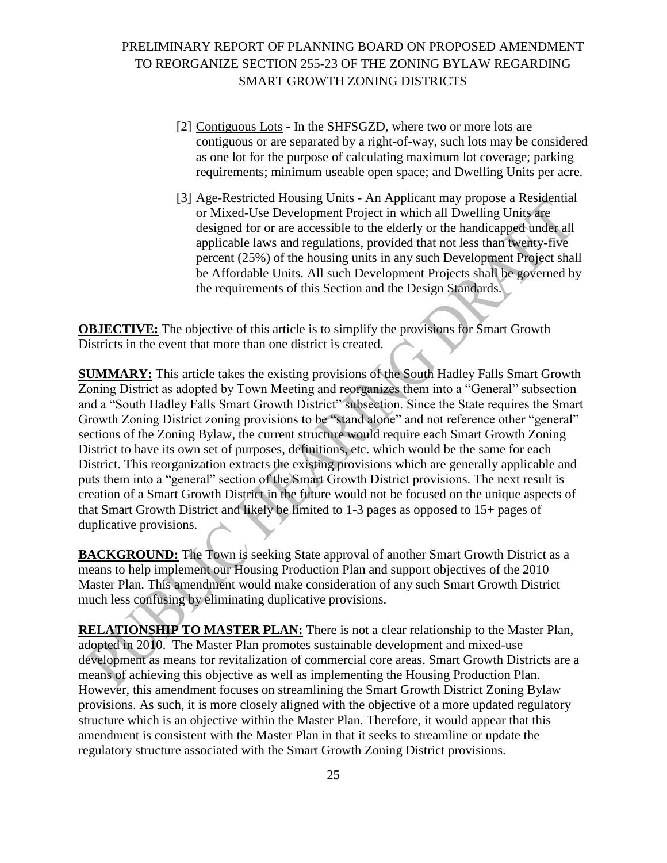- [2] Contiguous Lots In the SHFSGZD, where two or more lots are contiguous or are separated by a right-of-way, such lots may be considered as one lot for the purpose of calculating maximum lot coverage; parking requirements; minimum useable open space; and Dwelling Units per acre.
- [3] Age-Restricted Housing Units An Applicant may propose a Residential or Mixed-Use Development Project in which all Dwelling Units are designed for or are accessible to the elderly or the handicapped under all applicable laws and regulations, provided that not less than twenty-five percent (25%) of the housing units in any such Development Project shall be Affordable Units. All such Development Projects shall be governed by the requirements of this Section and the Design Standards.

**OBJECTIVE:** The objective of this article is to simplify the provisions for Smart Growth Districts in the event that more than one district is created.

**SUMMARY:** This article takes the existing provisions of the South Hadley Falls Smart Growth Zoning District as adopted by Town Meeting and reorganizes them into a "General" subsection and a "South Hadley Falls Smart Growth District" subsection. Since the State requires the Smart Growth Zoning District zoning provisions to be "stand alone" and not reference other "general" sections of the Zoning Bylaw, the current structure would require each Smart Growth Zoning District to have its own set of purposes, definitions, etc. which would be the same for each District. This reorganization extracts the existing provisions which are generally applicable and puts them into a "general" section of the Smart Growth District provisions. The next result is creation of a Smart Growth District in the future would not be focused on the unique aspects of that Smart Growth District and likely be limited to 1-3 pages as opposed to 15+ pages of duplicative provisions.

**BACKGROUND:** The Town is seeking State approval of another Smart Growth District as a means to help implement our Housing Production Plan and support objectives of the 2010 Master Plan. This amendment would make consideration of any such Smart Growth District much less confusing by eliminating duplicative provisions.

**RELATIONSHIP TO MASTER PLAN:** There is not a clear relationship to the Master Plan, adopted in 2010. The Master Plan promotes sustainable development and mixed-use development as means for revitalization of commercial core areas. Smart Growth Districts are a means of achieving this objective as well as implementing the Housing Production Plan. However, this amendment focuses on streamlining the Smart Growth District Zoning Bylaw provisions. As such, it is more closely aligned with the objective of a more updated regulatory structure which is an objective within the Master Plan. Therefore, it would appear that this amendment is consistent with the Master Plan in that it seeks to streamline or update the regulatory structure associated with the Smart Growth Zoning District provisions.